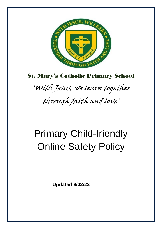

## St. Mary's Catholic Primary School

'With Jesus, we learn together through faith and love'

# Primary Child-friendly Online Safety Policy

 **Updated 8/02/22**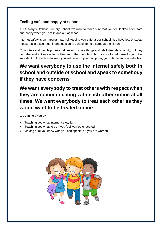#### **Feeling safe and happy at school**

At St. Mary's Catholic Primary School, we want to make sure that you feel looked after, safe and happy when you are in and out of school.

Internet safety is an important part of keeping you safe at our school. We have lots of safety measures in place, both in and outside of school, to help safeguard children.

Computers and mobile phones help us all to share things and talk to friends or family, but they can also make it easier for bullies and other people to hurt you or to get close to you. It is important to know how to keep yourself safe on your computer, your phone and on websites.

### **We want everybody to use the internet safely both in school and outside of school and speak to somebody if they have concerns**

**We want everybody to treat others with respect when they are communicating with each other online at all times. We want everybody to treat each other as they would want to be treated online**

We can help you by:

.

- Teaching you what internet safety is.
- Teaching you what to do if you feel worried or scared.
- Making sure you know who you can speak to if you are worried.

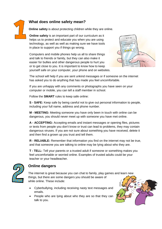#### **What does online safety mean?**



**Online safety** is about protecting children while they are online.

**Online safety** is an important part of our curriculum as it helps us to protect and educate you when you are using technology, as well as well as making sure we have tools in place to support you if things go wrong.

Computers and mobile phones help us all to share things and talk to friends or family, but they can also make it easier for bullies and other dangerous people to hurt you or to get close to you. It is important to know how to keep yourself safe on your computer, your phone and on websites.



The school will help if you are sent unkind messages or if someone on the internet has asked you to do anything that has made you feel uncomfortable.

If you are unhappy with any comments or photographs you have seen on your computer or mobile, you can tell a staff member in school.

Follow the **SMART** rules to keep safe online:

**S - SAFE:** Keep safe by being careful not to give out personal information to people, including your full name, address and phone number.

**M - MEETING:** Meeting someone you have only been in touch with online can be dangerous, you should never meet up with someone you have met online.

**A - ACCEPTING:** Accepting emails and instant messages or opening files, pictures or texts from people you don't know or trust can lead to problems, they may contain dangerous viruses. If you are not sure about something you have received, delete it and then find a grown up you trust and tell them.

**R - RELIABLE:** Remember that information you find on the internet may not be true, and that someone you are talking to online may be lying about who they are.

**T - TELL:** Tell your parents or a trusted adult if someone or something makes you feel uncomfortable or worried online. Examples of trusted adults could be your teacher or your headteacher.



#### **Online dangers**

The internet is great because you can chat to family, play games and learn new things, but there are some dangers you should be aware of while online. These include:

- Cyberbullying, including receiving nasty text messages and emails.
- People who are lying about who they are so that they can talk to you.

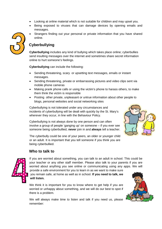- Looking at online material which is not suitable for children and may upset you.
- Being exposed to viruses that can damage devices by opening emails and messages.
- Strangers finding out your personal or private information that you have shared online.



#### **Cyberbullying**

**Cyberbullying** includes any kind of bullying which takes place online; cyberbullies send insulting messages over the internet and sometimes share secret information online to hurt someone's feelings.

**Cyberbullying** can include the following:

- Sending threatening, scary or upsetting text messages, emails or instant messages.
- Sending threatening, private or embarrassing pictures and video clips sent via mobile phone cameras
- Making prank phone calls or using the victim's phone to harass others, to make them think the victim is responsible
- Posting other private, unpleasant or untrue information about other people to blogs, personal websites and social networking sites

Cyberbullying is not tolerated under any circumstances and incidents of cyberbullying will be dealt with quickly by the St. Mary's wherever they occur, in line with the Behaviour Policy.

Cyberbullying is not always done by one person and can often involve a group of people 'ganging up' on someone – if you ever see someone being cyberbullied, **never** join in and **always** tell a teacher.



The cyberbully could be one of your peers, an older or younger child or an adult. It is important that you tell someone if you think you are being cyberbullied.

#### **Who to talk to**



If you are worried about something, you can talk to an adult in school. This could be your teacher or any other staff member. Please also talk to your parents if you are worried about anything you see online or communicating using any apps. We will provide a safe environment for you to learn in as we want to make sure

you remain safe, at home as well as in school. **If you need to talk, we will listen.**

We think it is important for you to know where to get help if you are worried or unhappy about something, and we will do our best to spot if there is a problem.

We will always make time to listen and talk if you need us, please remember: